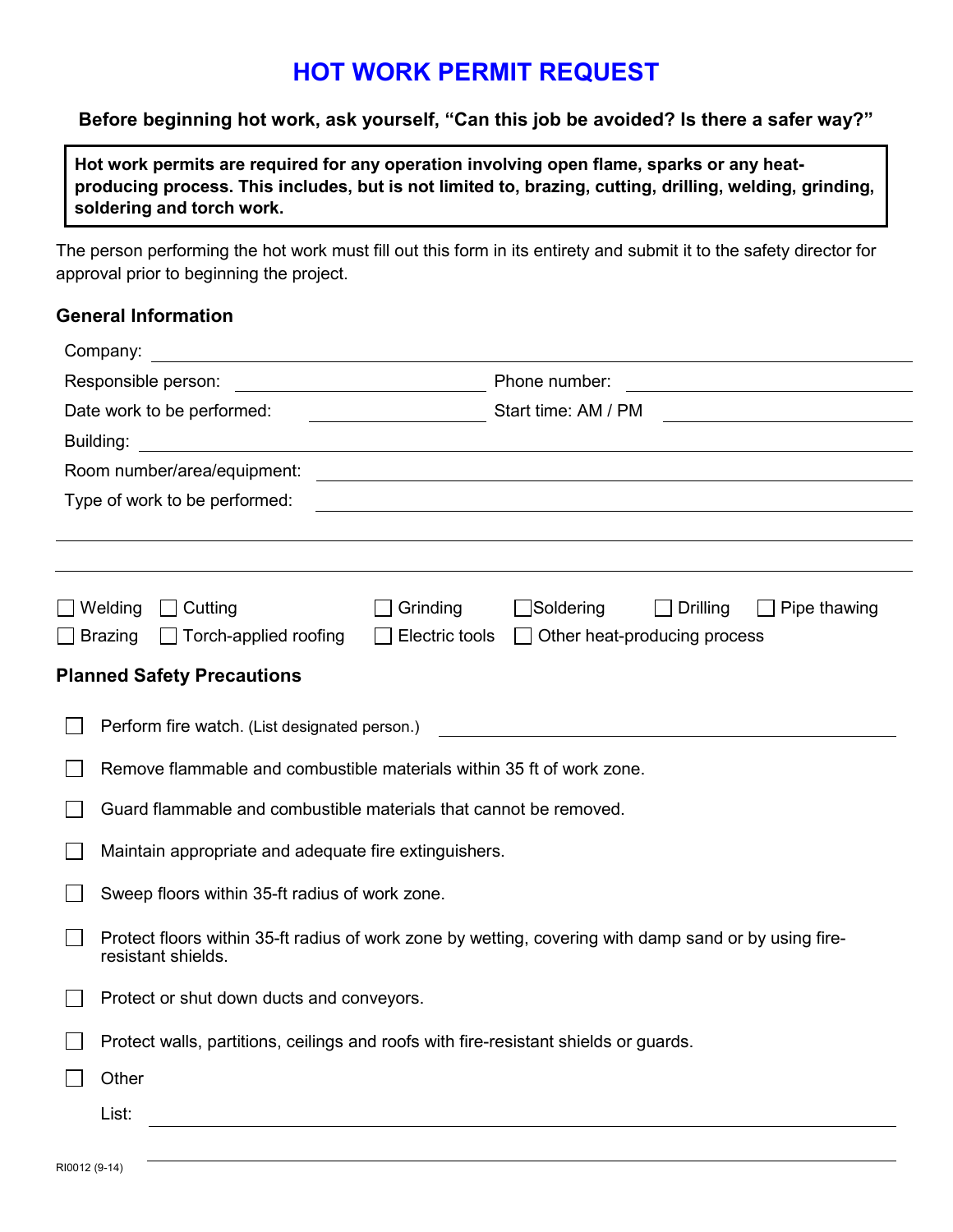### **HOT WORK PERMIT REQUEST**

#### **Before beginning hot work, ask yourself, "Can this job be avoided? Is there a safer way?"**

 **Hot work permits are required for any operation involving open flame, sparks or any heat- producing process. This includes, but is not limited to, brazing, cutting, drilling, welding, grinding, soldering and torch work.** 

 The person performing the hot work must fill out this form in its entirety and submit it to the safety director for approval prior to beginning the project.

#### **General Information**

|                               | Company:                                                                                                                    |                |                                                                                                                                         |  |  |  |  |
|-------------------------------|-----------------------------------------------------------------------------------------------------------------------------|----------------|-----------------------------------------------------------------------------------------------------------------------------------------|--|--|--|--|
| Responsible person:           |                                                                                                                             |                | Phone number:<br><u> 1989 - John Stein, mars and de Branch and de Branch and de Branch and de Branch and de Branch and de Branch an</u> |  |  |  |  |
| Date work to be performed:    |                                                                                                                             |                | Start time: AM / PM                                                                                                                     |  |  |  |  |
| Building:                     |                                                                                                                             |                |                                                                                                                                         |  |  |  |  |
| Room number/area/equipment:   |                                                                                                                             |                |                                                                                                                                         |  |  |  |  |
| Type of work to be performed: |                                                                                                                             |                |                                                                                                                                         |  |  |  |  |
|                               |                                                                                                                             |                |                                                                                                                                         |  |  |  |  |
|                               |                                                                                                                             |                |                                                                                                                                         |  |  |  |  |
|                               | $\Box$ Welding<br>Cutting                                                                                                   | Grinding       | $\Box$ Soldering<br>$\Box$ Drilling<br>Pipe thawing                                                                                     |  |  |  |  |
|                               | Torch-applied roofing<br>$\Box$ Brazing                                                                                     | Electric tools | Other heat-producing process                                                                                                            |  |  |  |  |
|                               |                                                                                                                             |                |                                                                                                                                         |  |  |  |  |
|                               | <b>Planned Safety Precautions</b>                                                                                           |                |                                                                                                                                         |  |  |  |  |
|                               | Perform fire watch. (List designated person.)                                                                               |                |                                                                                                                                         |  |  |  |  |
|                               | Remove flammable and combustible materials within 35 ft of work zone.                                                       |                |                                                                                                                                         |  |  |  |  |
|                               | Guard flammable and combustible materials that cannot be removed.                                                           |                |                                                                                                                                         |  |  |  |  |
|                               | Maintain appropriate and adequate fire extinguishers.                                                                       |                |                                                                                                                                         |  |  |  |  |
|                               | Sweep floors within 35-ft radius of work zone.                                                                              |                |                                                                                                                                         |  |  |  |  |
|                               | Protect floors within 35-ft radius of work zone by wetting, covering with damp sand or by using fire-<br>resistant shields. |                |                                                                                                                                         |  |  |  |  |
|                               | Protect or shut down ducts and conveyors.                                                                                   |                |                                                                                                                                         |  |  |  |  |
|                               | Protect walls, partitions, ceilings and roofs with fire-resistant shields or guards.                                        |                |                                                                                                                                         |  |  |  |  |
|                               | Other                                                                                                                       |                |                                                                                                                                         |  |  |  |  |
|                               | List:                                                                                                                       |                |                                                                                                                                         |  |  |  |  |
|                               |                                                                                                                             |                |                                                                                                                                         |  |  |  |  |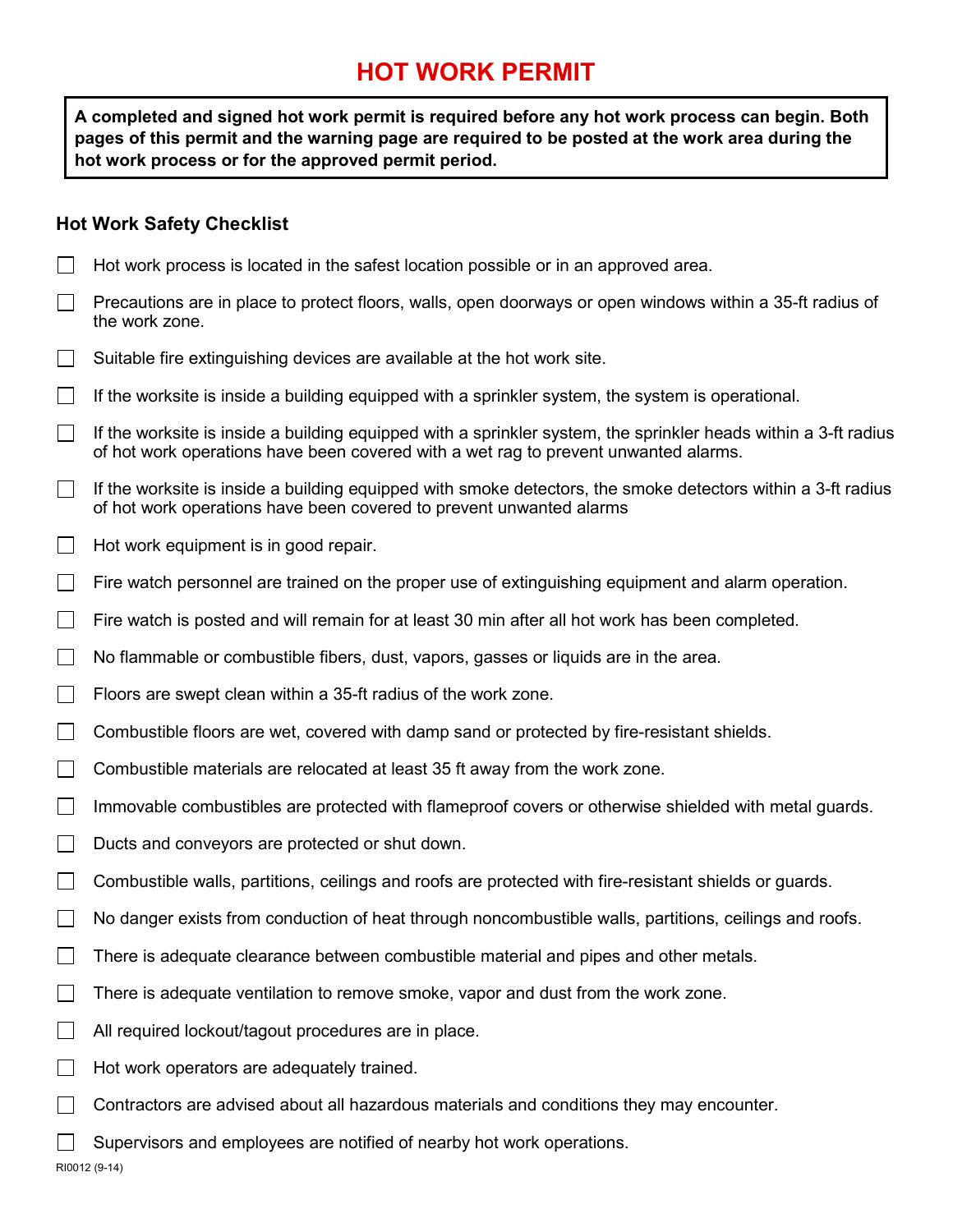## **HOT WORK PERMIT**

 **A completed and signed hot work permit is required before any hot work process can begin. Both pages of this permit and the warning page are required to be posted at the work area during the hot work process or for the approved permit period.** 

#### **Hot Work Safety Checklist**

- Hot work process is located in the safest location possible or in an approved area.
- Precautions are in place to protect floors, walls, open doorways or open windows within a 35-ft radius of  $\mathbf{1}$ the work zone.
- Suitable fire extinguishing devices are available at the hot work site.
- If the worksite is inside a building equipped with a sprinkler system, the system is operational.
- If the worksite is inside a building equipped with a sprinkler system, the sprinkler heads within a 3-ft radius of hot work operations have been covered with a wet rag to prevent unwanted alarms.
- If the worksite is inside a building equipped with smoke detectors, the smoke detectors within a 3-ft radius  $\perp$ of hot work operations have been covered to prevent unwanted alarms
- Hot work equipment is in good repair.
- $\perp$ Fire watch personnel are trained on the proper use of extinguishing equipment and alarm operation.
- Fire watch is posted and will remain for at least 30 min after all hot work has been completed.  $\mathbf{I}$
- No flammable or combustible fibers, dust, vapors, gasses or liquids are in the area.
- Floors are swept clean within a 35-ft radius of the work zone.
- $\perp$ Combustible floors are wet, covered with damp sand or protected by fire-resistant shields.
- $\Box$ Combustible materials are relocated at least 35 ft away from the work zone.
- Immovable combustibles are protected with flameproof covers or otherwise shielded with metal guards.  $\mathbf{I}$
- $\perp$ Ducts and conveyors are protected or shut down.
- $\perp$ Combustible walls, partitions, ceilings and roofs are protected with fire-resistant shields or guards.
- $\mathbf{I}$ No danger exists from conduction of heat through noncombustible walls, partitions, ceilings and roofs.
- $\perp$ There is adequate clearance between combustible material and pipes and other metals.
- $\perp$ There is adequate ventilation to remove smoke, vapor and dust from the work zone.
- All required lockout/tagout procedures are in place.  $\perp$
- Hot work operators are adequately trained.
- Contractors are advised about all hazardous materials and conditions they may encounter.
- Supervisors and employees are notified of nearby hot work operations.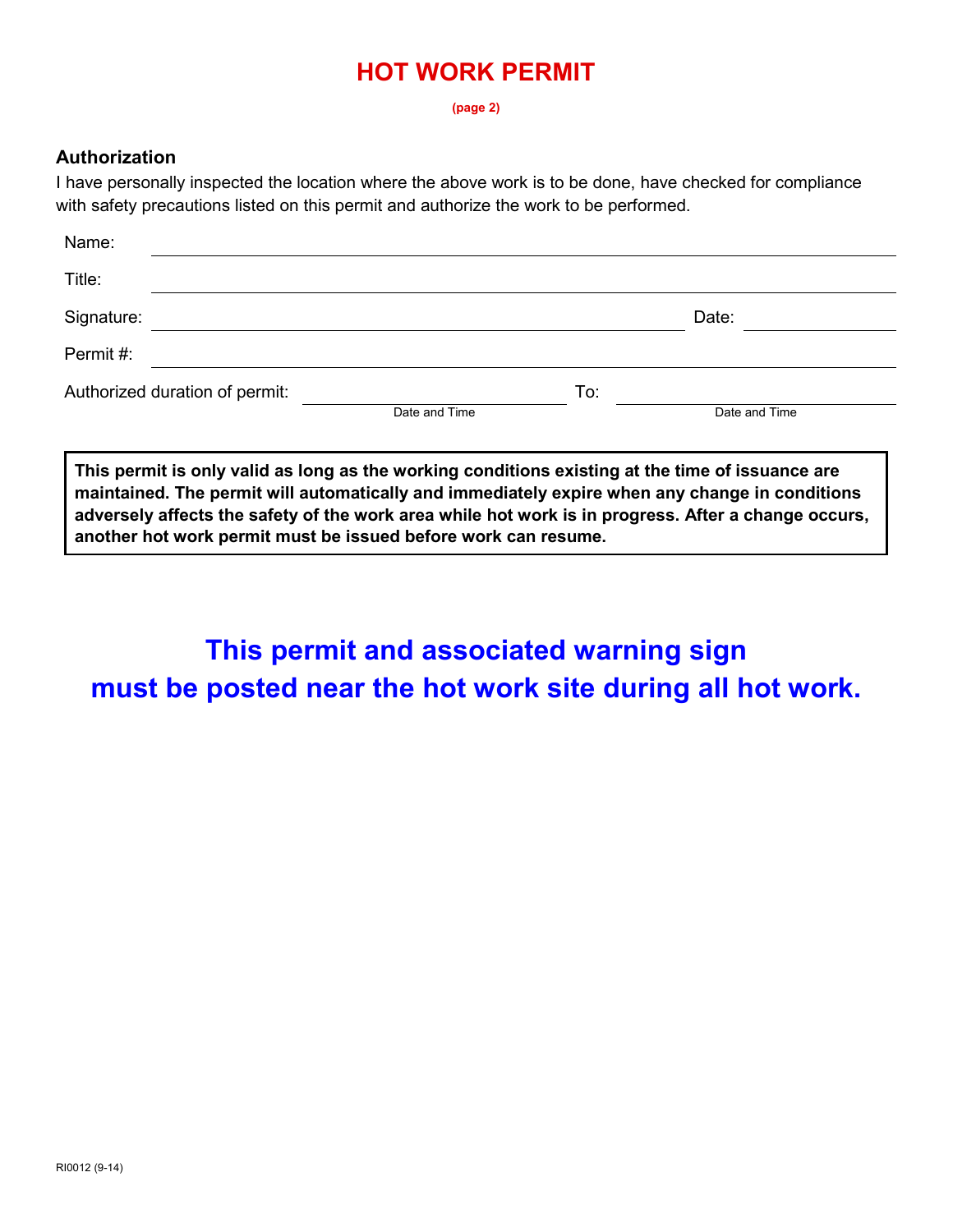## **HOT WORK PERMIT**

**(page 2)** 

#### **Authorization**

 I have personally inspected the location where the above work is to be done, have checked for compliance with safety precautions listed on this permit and authorize the work to be performed.

| Name:                          |               |     |               |  |
|--------------------------------|---------------|-----|---------------|--|
| Title:                         |               |     |               |  |
| Signature:                     |               |     | Date:         |  |
| Permit#:                       |               |     |               |  |
| Authorized duration of permit: | Date and Time | To: | Date and Time |  |
|                                |               |     |               |  |

 **This permit is only valid as long as the working conditions existing at the time of issuance are maintained. The permit will automatically and immediately expire when any change in conditions adversely affects the safety of the work area while hot work is in progress. After a change occurs, another hot work permit must be issued before work can resume.** 

# **This permit and associated warning sign must be posted near the hot work site during all hot work.**